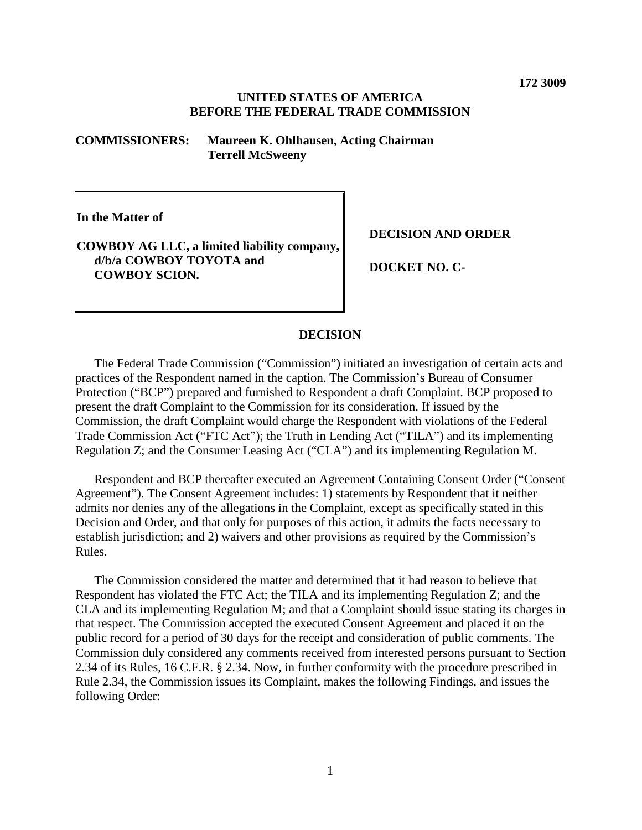#### **UNITED STATES OF AMERICA BEFORE THE FEDERAL TRADE COMMISSION**

#### **COMMISSIONERS: Maureen K. Ohlhausen, Acting Chairman Terrell McSweeny**

**In the Matter of**

# **COWBOY AG LLC, a limited liability company, d/b/a COWBOY TOYOTA and COWBOY SCION.**

**DECISION AND ORDER**

**DOCKET NO. C-**

# **DECISION**

The Federal Trade Commission ("Commission") initiated an investigation of certain acts and practices of the Respondent named in the caption. The Commission's Bureau of Consumer Protection ("BCP") prepared and furnished to Respondent a draft Complaint. BCP proposed to present the draft Complaint to the Commission for its consideration. If issued by the Commission, the draft Complaint would charge the Respondent with violations of the Federal Trade Commission Act ("FTC Act"); the Truth in Lending Act ("TILA") and its implementing Regulation Z; and the Consumer Leasing Act ("CLA") and its implementing Regulation M.

Respondent and BCP thereafter executed an Agreement Containing Consent Order ("Consent Agreement"). The Consent Agreement includes: 1) statements by Respondent that it neither admits nor denies any of the allegations in the Complaint, except as specifically stated in this Decision and Order, and that only for purposes of this action, it admits the facts necessary to establish jurisdiction; and 2) waivers and other provisions as required by the Commission's Rules.

The Commission considered the matter and determined that it had reason to believe that Respondent has violated the FTC Act; the TILA and its implementing Regulation Z; and the CLA and its implementing Regulation M; and that a Complaint should issue stating its charges in that respect. The Commission accepted the executed Consent Agreement and placed it on the public record for a period of 30 days for the receipt and consideration of public comments. The Commission duly considered any comments received from interested persons pursuant to Section 2.34 of its Rules, 16 C.F.R. § 2.34. Now, in further conformity with the procedure prescribed in Rule 2.34, the Commission issues its Complaint, makes the following Findings, and issues the following Order: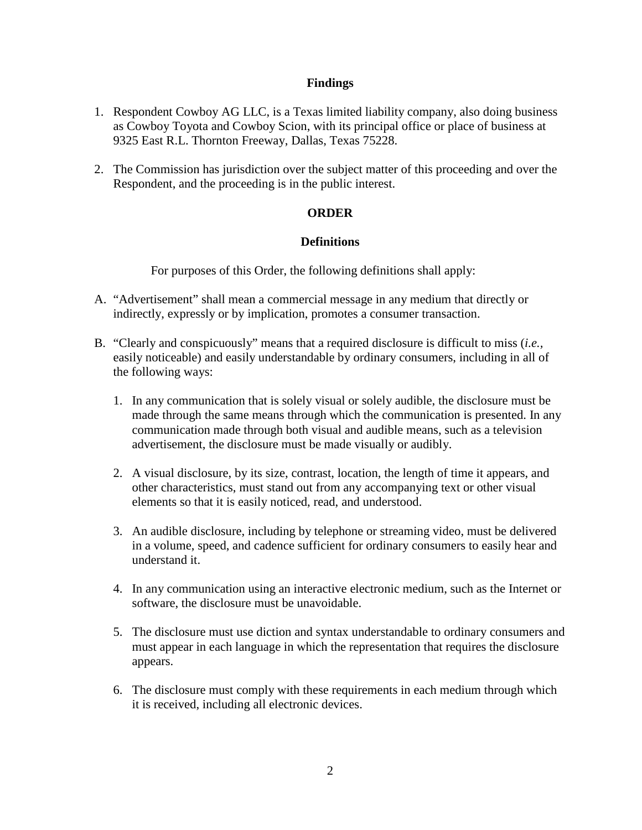## **Findings**

- 1. Respondent Cowboy AG LLC, is a Texas limited liability company, also doing business as Cowboy Toyota and Cowboy Scion, with its principal office or place of business at 9325 East R.L. Thornton Freeway, Dallas, Texas 75228.
- 2. The Commission has jurisdiction over the subject matter of this proceeding and over the Respondent, and the proceeding is in the public interest.

## **ORDER**

## **Definitions**

For purposes of this Order, the following definitions shall apply:

- A. "Advertisement" shall mean a commercial message in any medium that directly or indirectly, expressly or by implication, promotes a consumer transaction.
- B. "Clearly and conspicuously" means that a required disclosure is difficult to miss (*i.e.,* easily noticeable) and easily understandable by ordinary consumers, including in all of the following ways:
	- 1. In any communication that is solely visual or solely audible, the disclosure must be made through the same means through which the communication is presented. In any communication made through both visual and audible means, such as a television advertisement, the disclosure must be made visually or audibly.
	- 2. A visual disclosure, by its size, contrast, location, the length of time it appears, and other characteristics, must stand out from any accompanying text or other visual elements so that it is easily noticed, read, and understood.
	- 3. An audible disclosure, including by telephone or streaming video, must be delivered in a volume, speed, and cadence sufficient for ordinary consumers to easily hear and understand it.
	- 4. In any communication using an interactive electronic medium, such as the Internet or software, the disclosure must be unavoidable.
	- 5. The disclosure must use diction and syntax understandable to ordinary consumers and must appear in each language in which the representation that requires the disclosure appears.
	- 6. The disclosure must comply with these requirements in each medium through which it is received, including all electronic devices.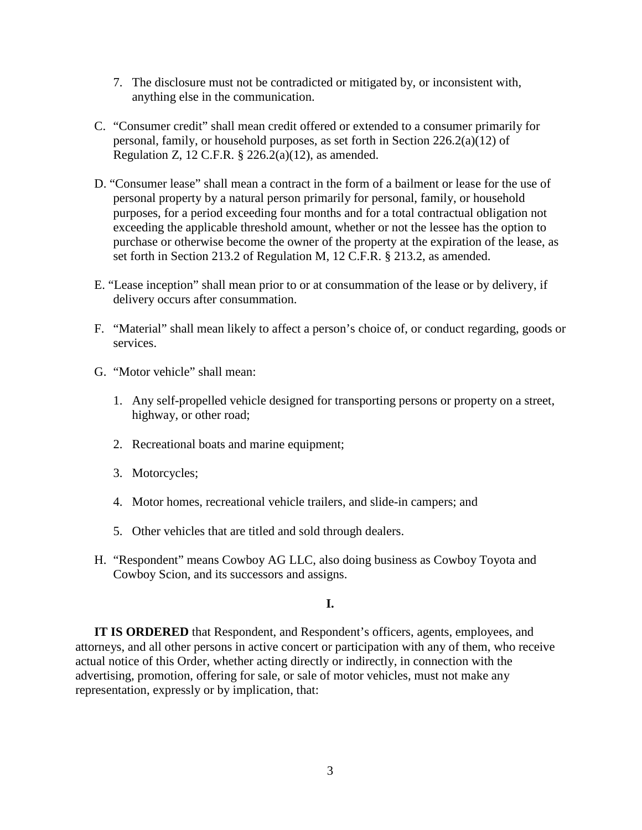- 7. The disclosure must not be contradicted or mitigated by, or inconsistent with, anything else in the communication.
- C. "Consumer credit" shall mean credit offered or extended to a consumer primarily for personal, family, or household purposes, as set forth in Section 226.2(a)(12) of Regulation Z, 12 C.F.R. § 226.2(a)(12), as amended.
- D. "Consumer lease" shall mean a contract in the form of a bailment or lease for the use of personal property by a natural person primarily for personal, family, or household purposes, for a period exceeding four months and for a total contractual obligation not exceeding the applicable threshold amount, whether or not the lessee has the option to purchase or otherwise become the owner of the property at the expiration of the lease, as set forth in Section 213.2 of Regulation M, 12 C.F.R. § 213.2, as amended.
- E. "Lease inception" shall mean prior to or at consummation of the lease or by delivery, if delivery occurs after consummation.
- F. "Material" shall mean likely to affect a person's choice of, or conduct regarding, goods or services.
- G. "Motor vehicle" shall mean:
	- 1. Any self-propelled vehicle designed for transporting persons or property on a street, highway, or other road;
	- 2. Recreational boats and marine equipment;
	- 3. Motorcycles;
	- 4. Motor homes, recreational vehicle trailers, and slide-in campers; and
	- 5. Other vehicles that are titled and sold through dealers.
- H. "Respondent" means Cowboy AG LLC, also doing business as Cowboy Toyota and Cowboy Scion, and its successors and assigns.

**I.**

**IT IS ORDERED** that Respondent, and Respondent's officers, agents, employees, and attorneys, and all other persons in active concert or participation with any of them, who receive actual notice of this Order, whether acting directly or indirectly, in connection with the advertising, promotion, offering for sale, or sale of motor vehicles, must not make any representation, expressly or by implication, that: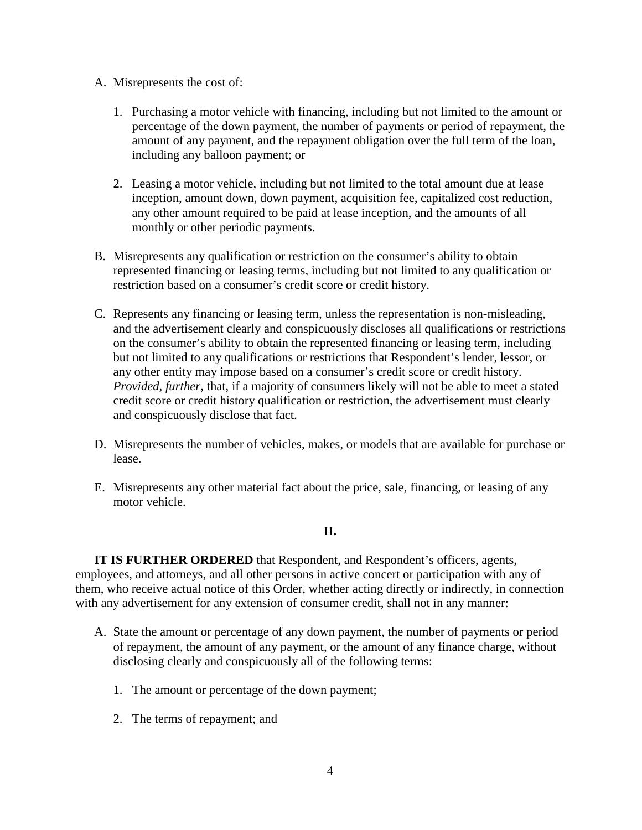- A. Misrepresents the cost of:
	- 1. Purchasing a motor vehicle with financing, including but not limited to the amount or percentage of the down payment, the number of payments or period of repayment, the amount of any payment, and the repayment obligation over the full term of the loan, including any balloon payment; or
	- 2. Leasing a motor vehicle, including but not limited to the total amount due at lease inception, amount down, down payment, acquisition fee, capitalized cost reduction, any other amount required to be paid at lease inception, and the amounts of all monthly or other periodic payments.
- B. Misrepresents any qualification or restriction on the consumer's ability to obtain represented financing or leasing terms, including but not limited to any qualification or restriction based on a consumer's credit score or credit history.
- C. Represents any financing or leasing term, unless the representation is non-misleading, and the advertisement clearly and conspicuously discloses all qualifications or restrictions on the consumer's ability to obtain the represented financing or leasing term, including but not limited to any qualifications or restrictions that Respondent's lender, lessor, or any other entity may impose based on a consumer's credit score or credit history. *Provided, further,* that, if a majority of consumers likely will not be able to meet a stated credit score or credit history qualification or restriction, the advertisement must clearly and conspicuously disclose that fact.
- D. Misrepresents the number of vehicles, makes, or models that are available for purchase or lease.
- E. Misrepresents any other material fact about the price, sale, financing, or leasing of any motor vehicle.

## **II.**

**IT IS FURTHER ORDERED** that Respondent, and Respondent's officers, agents, employees, and attorneys, and all other persons in active concert or participation with any of them, who receive actual notice of this Order, whether acting directly or indirectly, in connection with any advertisement for any extension of consumer credit, shall not in any manner:

- A. State the amount or percentage of any down payment, the number of payments or period of repayment, the amount of any payment, or the amount of any finance charge, without disclosing clearly and conspicuously all of the following terms:
	- 1. The amount or percentage of the down payment;
	- 2. The terms of repayment; and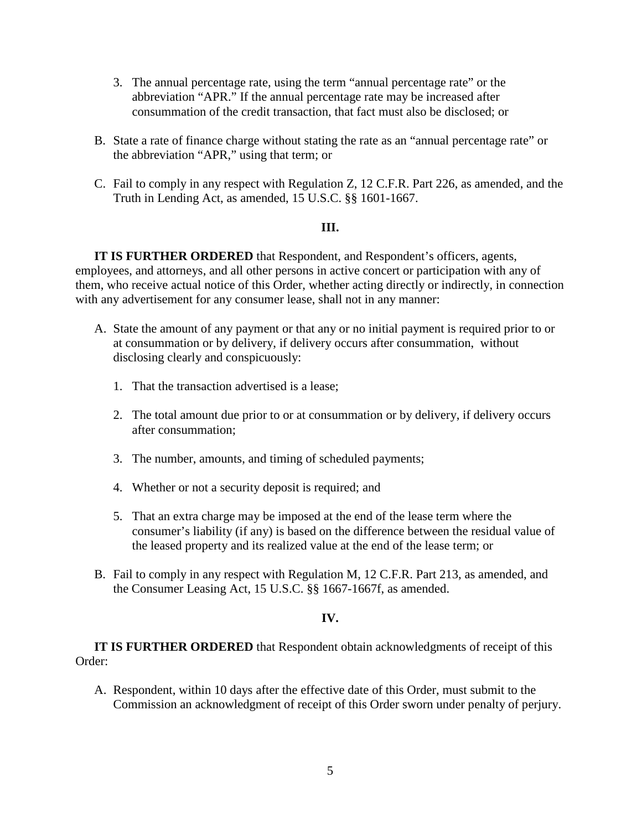- 3. The annual percentage rate, using the term "annual percentage rate" or the abbreviation "APR." If the annual percentage rate may be increased after consummation of the credit transaction, that fact must also be disclosed; or
- B. State a rate of finance charge without stating the rate as an "annual percentage rate" or the abbreviation "APR," using that term; or
- C. Fail to comply in any respect with Regulation Z, 12 C.F.R. Part 226, as amended, and the Truth in Lending Act, as amended, 15 U.S.C. §§ 1601-1667.

## **III.**

**IT IS FURTHER ORDERED** that Respondent, and Respondent's officers, agents, employees, and attorneys, and all other persons in active concert or participation with any of them, who receive actual notice of this Order, whether acting directly or indirectly, in connection with any advertisement for any consumer lease, shall not in any manner:

- A. State the amount of any payment or that any or no initial payment is required prior to or at consummation or by delivery, if delivery occurs after consummation, without disclosing clearly and conspicuously:
	- 1. That the transaction advertised is a lease;
	- 2. The total amount due prior to or at consummation or by delivery, if delivery occurs after consummation;
	- 3. The number, amounts, and timing of scheduled payments;
	- 4. Whether or not a security deposit is required; and
	- 5. That an extra charge may be imposed at the end of the lease term where the consumer's liability (if any) is based on the difference between the residual value of the leased property and its realized value at the end of the lease term; or
- B. Fail to comply in any respect with Regulation M, 12 C.F.R. Part 213, as amended, and the Consumer Leasing Act, 15 U.S.C. §§ 1667-1667f, as amended.

# **IV.**

**IT IS FURTHER ORDERED** that Respondent obtain acknowledgments of receipt of this Order:

A. Respondent, within 10 days after the effective date of this Order, must submit to the Commission an acknowledgment of receipt of this Order sworn under penalty of perjury.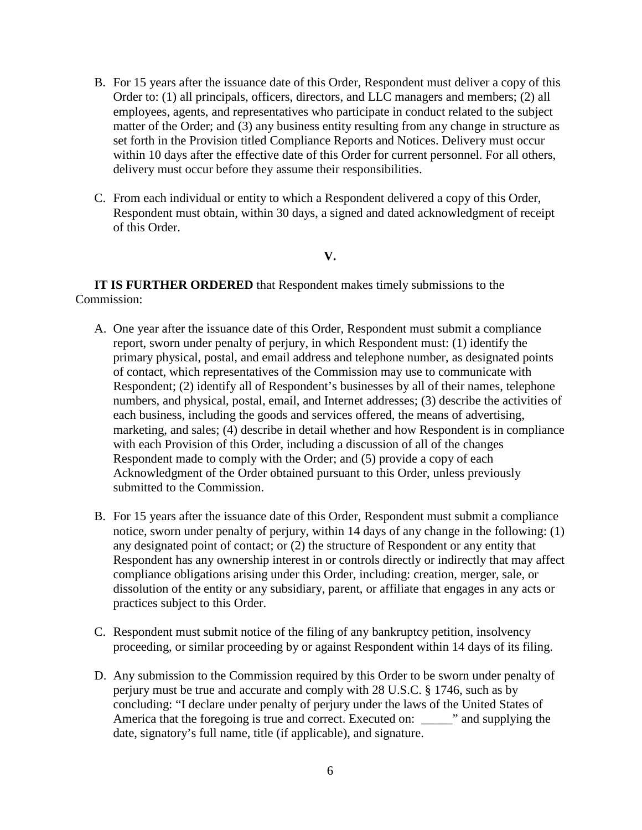- B. For 15 years after the issuance date of this Order, Respondent must deliver a copy of this Order to: (1) all principals, officers, directors, and LLC managers and members; (2) all employees, agents, and representatives who participate in conduct related to the subject matter of the Order; and (3) any business entity resulting from any change in structure as set forth in the Provision titled Compliance Reports and Notices. Delivery must occur within 10 days after the effective date of this Order for current personnel. For all others, delivery must occur before they assume their responsibilities.
- C. From each individual or entity to which a Respondent delivered a copy of this Order, Respondent must obtain, within 30 days, a signed and dated acknowledgment of receipt of this Order.

#### **V.**

**IT IS FURTHER ORDERED** that Respondent makes timely submissions to the Commission:

- A. One year after the issuance date of this Order, Respondent must submit a compliance report, sworn under penalty of perjury, in which Respondent must: (1) identify the primary physical, postal, and email address and telephone number, as designated points of contact, which representatives of the Commission may use to communicate with Respondent; (2) identify all of Respondent's businesses by all of their names, telephone numbers, and physical, postal, email, and Internet addresses; (3) describe the activities of each business, including the goods and services offered, the means of advertising, marketing, and sales; (4) describe in detail whether and how Respondent is in compliance with each Provision of this Order, including a discussion of all of the changes Respondent made to comply with the Order; and (5) provide a copy of each Acknowledgment of the Order obtained pursuant to this Order, unless previously submitted to the Commission.
- B. For 15 years after the issuance date of this Order, Respondent must submit a compliance notice, sworn under penalty of perjury, within 14 days of any change in the following: (1) any designated point of contact; or (2) the structure of Respondent or any entity that Respondent has any ownership interest in or controls directly or indirectly that may affect compliance obligations arising under this Order, including: creation, merger, sale, or dissolution of the entity or any subsidiary, parent, or affiliate that engages in any acts or practices subject to this Order.
- C. Respondent must submit notice of the filing of any bankruptcy petition, insolvency proceeding, or similar proceeding by or against Respondent within 14 days of its filing.
- D. Any submission to the Commission required by this Order to be sworn under penalty of perjury must be true and accurate and comply with 28 U.S.C. § 1746, such as by concluding: "I declare under penalty of perjury under the laws of the United States of America that the foregoing is true and correct. Executed on: \_\_\_\_\_" and supplying the date, signatory's full name, title (if applicable), and signature.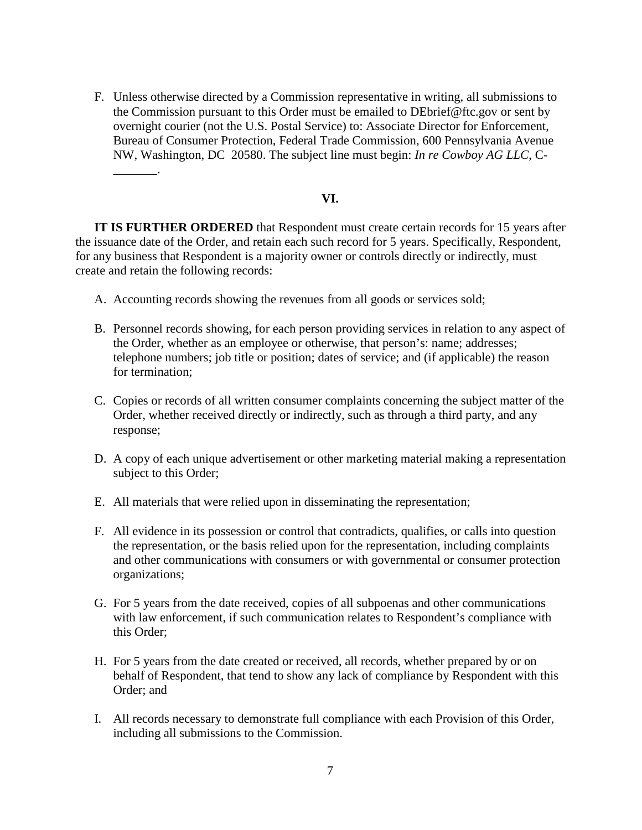F. Unless otherwise directed by a Commission representative in writing, all submissions to the Commission pursuant to this Order must be emailed to DEbrief@ftc.gov or sent by overnight courier (not the U.S. Postal Service) to: Associate Director for Enforcement, Bureau of Consumer Protection, Federal Trade Commission, 600 Pennsylvania Avenue NW, Washington, DC 20580. The subject line must begin: *In re Cowboy AG LLC*, C-

#### **VI.**

**IT IS FURTHER ORDERED** that Respondent must create certain records for 15 years after the issuance date of the Order, and retain each such record for 5 years. Specifically, Respondent, for any business that Respondent is a majority owner or controls directly or indirectly, must create and retain the following records:

A. Accounting records showing the revenues from all goods or services sold;

\_\_\_\_\_\_\_.

- B. Personnel records showing, for each person providing services in relation to any aspect of the Order, whether as an employee or otherwise, that person's: name; addresses; telephone numbers; job title or position; dates of service; and (if applicable) the reason for termination;
- C. Copies or records of all written consumer complaints concerning the subject matter of the Order, whether received directly or indirectly, such as through a third party, and any response;
- D. A copy of each unique advertisement or other marketing material making a representation subject to this Order;
- E. All materials that were relied upon in disseminating the representation;
- F. All evidence in its possession or control that contradicts, qualifies, or calls into question the representation, or the basis relied upon for the representation, including complaints and other communications with consumers or with governmental or consumer protection organizations;
- G. For 5 years from the date received, copies of all subpoenas and other communications with law enforcement, if such communication relates to Respondent's compliance with this Order;
- H. For 5 years from the date created or received, all records, whether prepared by or on behalf of Respondent, that tend to show any lack of compliance by Respondent with this Order; and
- I. All records necessary to demonstrate full compliance with each Provision of this Order, including all submissions to the Commission.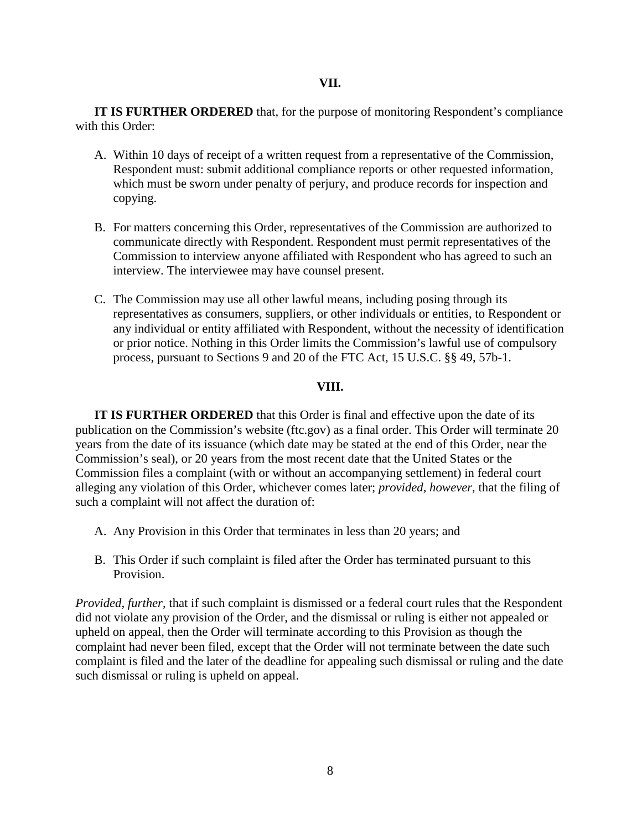#### **VII.**

**IT IS FURTHER ORDERED** that, for the purpose of monitoring Respondent's compliance with this Order:

- A. Within 10 days of receipt of a written request from a representative of the Commission, Respondent must: submit additional compliance reports or other requested information, which must be sworn under penalty of perjury, and produce records for inspection and copying.
- B. For matters concerning this Order, representatives of the Commission are authorized to communicate directly with Respondent. Respondent must permit representatives of the Commission to interview anyone affiliated with Respondent who has agreed to such an interview. The interviewee may have counsel present.
- C. The Commission may use all other lawful means, including posing through its representatives as consumers, suppliers, or other individuals or entities, to Respondent or any individual or entity affiliated with Respondent, without the necessity of identification or prior notice. Nothing in this Order limits the Commission's lawful use of compulsory process, pursuant to Sections 9 and 20 of the FTC Act, 15 U.S.C. §§ 49, 57b-1.

# **VIII.**

**IT IS FURTHER ORDERED** that this Order is final and effective upon the date of its publication on the Commission's website (ftc.gov) as a final order. This Order will terminate 20 years from the date of its issuance (which date may be stated at the end of this Order, near the Commission's seal), or 20 years from the most recent date that the United States or the Commission files a complaint (with or without an accompanying settlement) in federal court alleging any violation of this Order, whichever comes later; *provided, however*, that the filing of such a complaint will not affect the duration of:

- A. Any Provision in this Order that terminates in less than 20 years; and
- B. This Order if such complaint is filed after the Order has terminated pursuant to this Provision.

*Provided, further*, that if such complaint is dismissed or a federal court rules that the Respondent did not violate any provision of the Order, and the dismissal or ruling is either not appealed or upheld on appeal, then the Order will terminate according to this Provision as though the complaint had never been filed, except that the Order will not terminate between the date such complaint is filed and the later of the deadline for appealing such dismissal or ruling and the date such dismissal or ruling is upheld on appeal.